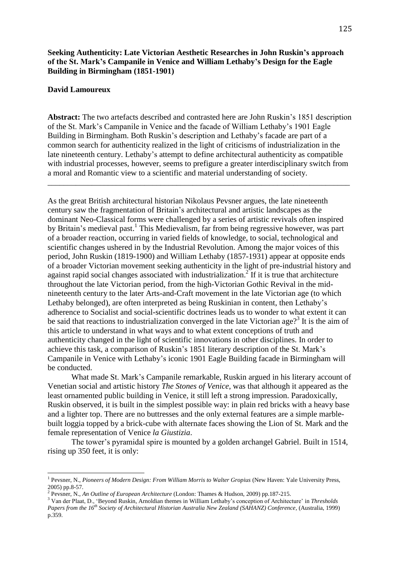# **Seeking Authenticity: Late Victorian Aesthetic Researches in John Ruskin's approach of the St. Mark's Campanile in Venice and William Lethaby's Design for the Eagle Building in Birmingham (1851-1901)**

### **David Lamoureux**

 $\overline{\phantom{a}}$ 

**Abstract:** The two artefacts described and contrasted here are John Ruskin's 1851 description of the St. Mark's Campanile in Venice and the facade of William Lethaby's 1901 Eagle Building in Birmingham. Both Ruskin's description and Lethaby's facade are part of a common search for authenticity realized in the light of criticisms of industrialization in the late nineteenth century. Lethaby's attempt to define architectural authenticity as compatible with industrial processes, however, seems to prefigure a greater interdisciplinary switch from a moral and Romantic view to a scientific and material understanding of society.

\_\_\_\_\_\_\_\_\_\_\_\_\_\_\_\_\_\_\_\_\_\_\_\_\_\_\_\_\_\_\_\_\_\_\_\_\_\_\_\_\_\_\_\_\_\_\_\_\_\_\_\_\_\_\_\_\_\_\_\_\_\_\_\_\_\_\_\_\_\_\_\_\_\_\_

As the great British architectural historian Nikolaus Pevsner argues, the late nineteenth century saw the fragmentation of Britain's architectural and artistic landscapes as the dominant Neo-Classical forms were challenged by a series of artistic revivals often inspired by Britain's medieval past.<sup>1</sup> This Medievalism, far from being regressive however, was part of a broader reaction, occurring in varied fields of knowledge, to social, technological and scientific changes ushered in by the Industrial Revolution. Among the major voices of this period, John Ruskin (1819-1900) and William Lethaby (1857-1931) appear at opposite ends of a broader Victorian movement seeking authenticity in the light of pre-industrial history and against rapid social changes associated with industrialization.<sup>2</sup> If it is true that architecture throughout the late Victorian period, from the high-Victorian Gothic Revival in the midnineteenth century to the later Arts-and-Craft movement in the late Victorian age (to which Lethaby belonged), are often interpreted as being Ruskinian in content, then Lethaby's adherence to Socialist and social-scientific doctrines leads us to wonder to what extent it can be said that reactions to industrialization converged in the late Victorian age?<sup>3</sup> It is the aim of this article to understand in what ways and to what extent conceptions of truth and authenticity changed in the light of scientific innovations in other disciplines. In order to achieve this task, a comparison of Ruskin's 1851 literary description of the St. Mark's Campanile in Venice with Lethaby's iconic 1901 Eagle Building facade in Birmingham will be conducted.

What made St. Mark's Campanile remarkable, Ruskin argued in his literary account of Venetian social and artistic history *The Stones of Venice*, was that although it appeared as the least ornamented public building in Venice, it still left a strong impression. Paradoxically, Ruskin observed, it is built in the simplest possible way: in plain red bricks with a heavy base and a lighter top. There are no buttresses and the only external features are a simple marblebuilt loggia topped by a brick-cube with alternate faces showing the Lion of St. Mark and the female representation of Venice *la Giustizia*.

The tower's pyramidal spire is mounted by a golden archangel Gabriel. Built in 1514, rising up 350 feet, it is only:

<sup>&</sup>lt;sup>1</sup> Pevsner, N., Pioneers of Modern Design: From William Morris to Walter Gropius (New Haven: Yale University Press, 2005) pp.8-57.

<sup>2</sup> Pevsner, N., *An Outline of European Architecture* (London: Thames & Hudson, 2009) pp.187-215.

<sup>3</sup> Van der Plaat, D., 'Beyond Ruskin, Arnoldian themes in William Lethaby's conception of Architecture' in *Thresholds Papers from the 16th Society of Architectural Historian Australia New Zealand (SAHANZ) Conference,* (Australia, 1999) p.359.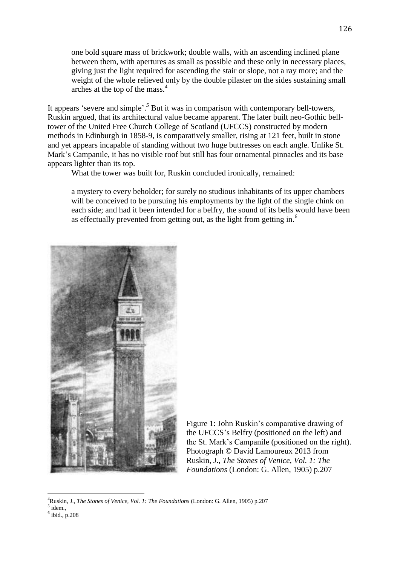one bold square mass of brickwork; double walls, with an ascending inclined plane between them, with apertures as small as possible and these only in necessary places, giving just the light required for ascending the stair or slope, not a ray more; and the weight of the whole relieved only by the double pilaster on the sides sustaining small arches at the top of the mass. 4

It appears 'severe and simple'. *<sup>5</sup>* But it was in comparison with contemporary bell-towers, Ruskin argued, that its architectural value became apparent. The later built neo-Gothic belltower of the United Free Church College of Scotland (UFCCS) constructed by modern methods in Edinburgh in 1858-9, is comparatively smaller, rising at 121 feet, built in stone and yet appears incapable of standing without two huge buttresses on each angle. Unlike St. Mark's Campanile, it has no visible roof but still has four ornamental pinnacles and its base appears lighter than its top.

What the tower was built for, Ruskin concluded ironically, remained:

a mystery to every beholder; for surely no studious inhabitants of its upper chambers will be conceived to be pursuing his employments by the light of the single chink on each side; and had it been intended for a belfry, the sound of its bells would have been as effectually prevented from getting out, as the light from getting in.<sup>6</sup>



Figure 1: John Ruskin's comparative drawing of the UFCCS's Belfry (positioned on the left) and the St. Mark's Campanile (positioned on the right). Photograph © David Lamoureux 2013 from Ruskin, J., *The Stones of Venice, Vol. 1: The Foundations* (London: G. Allen, 1905) p.207

 $\overline{a}$ <sup>4</sup>Ruskin, J., *The Stones of Venice, Vol. 1: The Foundations* (London: G. Allen, 1905) p.207

 $<sup>5</sup>$  idem.,</sup>

<sup>6</sup> ibid., p.208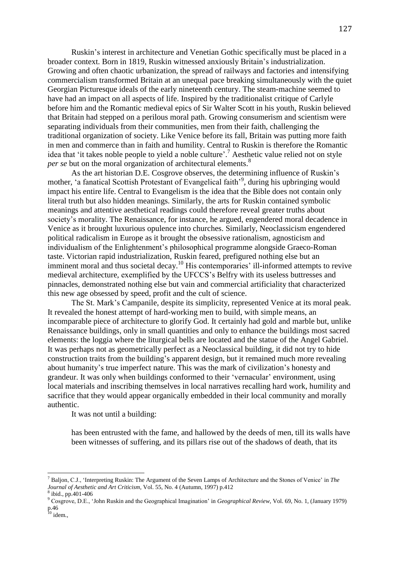Ruskin's interest in architecture and Venetian Gothic specifically must be placed in a broader context. Born in 1819, Ruskin witnessed anxiously Britain's industrialization. Growing and often chaotic urbanization, the spread of railways and factories and intensifying commercialism transformed Britain at an unequal pace breaking simultaneously with the quiet Georgian Picturesque ideals of the early nineteenth century. The steam-machine seemed to have had an impact on all aspects of life. Inspired by the traditionalist critique of Carlyle before him and the Romantic medieval epics of Sir Walter Scott in his youth, Ruskin believed that Britain had stepped on a perilous moral path. Growing consumerism and scientism were separating individuals from their communities, men from their faith, challenging the traditional organization of society. Like Venice before its fall, Britain was putting more faith in men and commerce than in faith and humility. Central to Ruskin is therefore the Romantic idea that 'it takes noble people to yield a noble culture'. <sup>7</sup> Aesthetic value relied not on style per se but on the moral organization of architectural elements.<sup>8</sup>

As the art historian D.E. Cosgrove observes, the determining influence of Ruskin's mother, 'a fanatical Scottish Protestant of Evangelical faith<sup>39</sup>, during his upbringing would impact his entire life. Central to Evangelism is the idea that the Bible does not contain only literal truth but also hidden meanings. Similarly, the arts for Ruskin contained symbolic meanings and attentive aesthetical readings could therefore reveal greater truths about society's morality. The Renaissance, for instance, he argued, engendered moral decadence in Venice as it brought luxurious opulence into churches. Similarly, Neoclassicism engendered political radicalism in Europe as it brought the obsessive rationalism, agnosticism and individualism of the Enlightenment's philosophical programme alongside Graeco-Roman taste. Victorian rapid industrialization, Ruskin feared, prefigured nothing else but an imminent moral and thus societal decay.<sup>10</sup> His contemporaries' ill-informed attempts to revive medieval architecture, exemplified by the UFCCS's Belfry with its useless buttresses and pinnacles, demonstrated nothing else but vain and commercial artificiality that characterized this new age obsessed by speed, profit and the cult of science.

The St. Mark's Campanile, despite its simplicity, represented Venice at its moral peak. It revealed the honest attempt of hard-working men to build, with simple means, an incomparable piece of architecture to glorify God. It certainly had gold and marble but, unlike Renaissance buildings, only in small quantities and only to enhance the buildings most sacred elements: the loggia where the liturgical bells are located and the statue of the Angel Gabriel. It was perhaps not as geometrically perfect as a Neoclassical building, it did not try to hide construction traits from the building's apparent design, but it remained much more revealing about humanity's true imperfect nature. This was the mark of civilization's honesty and grandeur. It was only when buildings conformed to their 'vernacular' environment, using local materials and inscribing themselves in local narratives recalling hard work, humility and sacrifice that they would appear organically embedded in their local community and morally authentic.

It was not until a building:

has been entrusted with the fame, and hallowed by the deeds of men, till its walls have been witnesses of suffering, and its pillars rise out of the shadows of death, that its

 $\overline{\phantom{a}}$ 

<sup>7</sup> Baljon, C.J., 'Interpreting Ruskin: The Argument of the Seven Lamps of Architecture and the Stones of Venice' in *The Journal of Aesthetic and Art Criticism*, Vol. 55, No. 4 (Autumn, 1997) p.412 8 ibid., pp.401-406

<sup>9</sup> Cosgrove, D.E., 'John Ruskin and the Geographical Imagination' in *Geographical Review*, Vol. 69, No. 1, (January 1979) p.46

 $10$  idem.,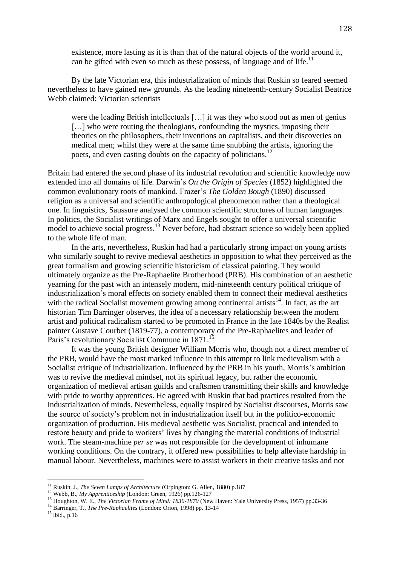existence, more lasting as it is than that of the natural objects of the world around it, can be gifted with even so much as these possess, of language and of life.<sup>11</sup>

By the late Victorian era, this industrialization of minds that Ruskin so feared seemed nevertheless to have gained new grounds. As the leading nineteenth-century Socialist Beatrice Webb claimed: Victorian scientists

were the leading British intellectuals […] it was they who stood out as men of genius [...] who were routing the theologians, confounding the mystics, imposing their theories on the philosophers, their inventions on capitalists, and their discoveries on medical men; whilst they were at the same time snubbing the artists, ignoring the poets, and even casting doubts on the capacity of politicians.<sup>12</sup>

Britain had entered the second phase of its industrial revolution and scientific knowledge now extended into all domains of life. Darwin's *On the Origin of Species* (1852) highlighted the common evolutionary roots of mankind. Frazer's *The Golden Bough* (1890) discussed religion as a universal and scientific anthropological phenomenon rather than a theological one. In linguistics, Saussure analysed the common scientific structures of human languages. In politics, the Socialist writings of Marx and Engels sought to offer a universal scientific model to achieve social progress.<sup>13</sup> Never before, had abstract science so widely been applied to the whole life of man.

In the arts, nevertheless, Ruskin had had a particularly strong impact on young artists who similarly sought to revive medieval aesthetics in opposition to what they perceived as the great formalism and growing scientific historicism of classical painting. They would ultimately organize as the Pre-Raphaelite Brotherhood (PRB). His combination of an aesthetic yearning for the past with an intensely modern, mid-nineteenth century political critique of industrialization's moral effects on society enabled them to connect their medieval aesthetics with the radical Socialist movement growing among continental artists<sup>14</sup>. In fact, as the art historian Tim Barringer observes, the idea of a necessary relationship between the modern artist and political radicalism started to be promoted in France in the late 1840s by the Realist painter Gustave Courbet (1819-77), a contemporary of the Pre-Raphaelites and leader of Paris's revolutionary Socialist Commune in 1871.<sup>15</sup>

It was the young British designer William Morris who, though not a direct member of the PRB, would have the most marked influence in this attempt to link medievalism with a Socialist critique of industrialization. Influenced by the PRB in his youth, Morris's ambition was to revive the medieval mindset, not its spiritual legacy, but rather the economic organization of medieval artisan guilds and craftsmen transmitting their skills and knowledge with pride to worthy apprentices. He agreed with Ruskin that bad practices resulted from the industrialization of minds. Nevertheless, equally inspired by Socialist discourses, Morris saw the source of society's problem not in industrialization itself but in the politico-economic organization of production. His medieval aesthetic was Socialist, practical and intended to restore beauty and pride to workers' lives by changing the material conditions of industrial work. The steam-machine *per se* was not responsible for the development of inhumane working conditions. On the contrary, it offered new possibilities to help alleviate hardship in manual labour. Nevertheless, machines were to assist workers in their creative tasks and not

 $\overline{a}$ 

<sup>11</sup> Ruskin, J., *The Seven Lamps of Architecture* (Orpington: G. Allen, 1880) p.187

<sup>12</sup> Webb, B., *My Apprenticeship* (London: Green, 1926) pp.126-127

<sup>&</sup>lt;sup>13</sup> Houghton, W. E., *The Victorian Frame of Mind: 1830-1870* (New Haven: Yale University Press, 1957) pp.33-36

<sup>14</sup> Barringer, T., *The Pre-Raphaelites* (London: Orion, 1998) pp. 13-14

 $15$  ibid., p.16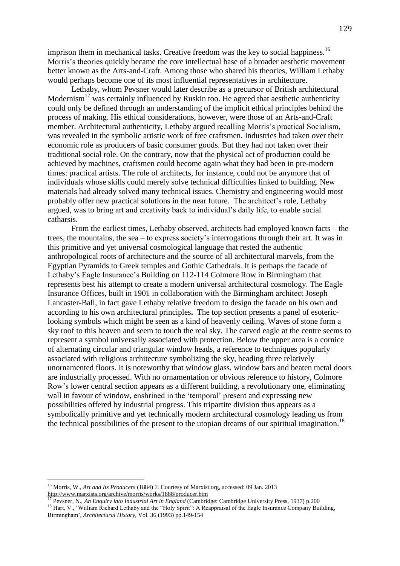imprison them in mechanical tasks. Creative freedom was the key to social happiness.<sup>16</sup> Morris's theories quickly became the core intellectual base of a broader aesthetic movement better known as the Arts-and-Craft. Among those who shared his theories, William Lethaby would perhaps become one of its most influential representatives in architecture.

Lethaby, whom Pevsner would later describe as a precursor of British architectural Modernism<sup>17</sup> was certainly influenced by Ruskin too. He agreed that aesthetic authenticity could only be defined through an understanding of the implicit ethical principles behind the process of making. His ethical considerations, however, were those of an Arts-and-Craft member. Architectural authenticity, Lethaby argued recalling Morris's practical Socialism, was revealed in the symbolic artistic work of free craftsmen. Industries had taken over their economic role as producers of basic consumer goods. But they had not taken over their traditional social role. On the contrary, now that the physical act of production could be achieved by machines, craftsmen could become again what they had been in pre-modern times: practical artists. The role of architects, for instance, could not be anymore that of individuals whose skills could merely solve technical difficulties linked to building. New materials had already solved many technical issues. Chemistry and engineering would most probably offer new practical solutions in the near future. The architect's role, Lethaby argued, was to bring art and creativity back to individual's daily life, to enable social catharsis.

From the earliest times, Lethaby observed, architects had employed known facts – the trees, the mountains, the sea – to express society's interrogations through their art. It was in this primitive and yet universal cosmological language that rested the authentic anthropological roots of architecture and the source of all architectural marvels, from the Egyptian Pyramids to Greek temples and Gothic Cathedrals. It is perhaps the facade of Lethaby's Eagle Insurance's Building on 112-114 Colmore Row in Birmingham that represents best his attempt to create a modern universal architectural cosmology. The Eagle Insurance Offices, built in 1901 in collaboration with the Birmingham architect Joseph Lancaster-Ball, in fact gave Lethaby relative freedom to design the facade on his own and according to his own architectural principles**.** The top section presents a panel of esotericlooking symbols which might be seen as a kind of heavenly ceiling. Waves of stone form a sky roof to this heaven and seem to touch the real sky. The carved eagle at the centre seems to represent a symbol universally associated with protection. Below the upper area is a cornice of alternating circular and triangular window heads, a reference to techniques popularly associated with religious architecture symbolizing the sky, heading three relatively unornamented floors. It is noteworthy that window glass, window bars and beaten metal doors are industrially processed. With no ornamentation or obvious reference to history, Colmore Row's lower central section appears as a different building, a revolutionary one, eliminating wall in favour of window, enshrined in the 'temporal' present and expressing new possibilities offered by industrial progress. This tripartite division thus appears as a symbolically primitive and yet technically modern architectural cosmology leading us from the technical possibilities of the present to the utopian dreams of our spiritual imagination.<sup>18</sup>

 $\overline{a}$ 

<sup>16</sup> Morris, W., *Art and Its Producers* (1884) © Courtesy of Marxist.org, accessed: 09 Jan. 2013 <http://www.marxists.org/archive/morris/works/1888/producer.htm>

<sup>17</sup> Pevsner, N., *An Enquiry into Industrial Art in England* (Cambridge: Cambridge University Press, 1937) p.200

<sup>&</sup>lt;sup>18</sup> Hart, V., 'William Richard Lethaby and the "Holy Spirit": A Reappraisal of the Eagle Insurance Company Building, Birmingham', *Architectural History*, Vol. 36 (1993) pp.149-154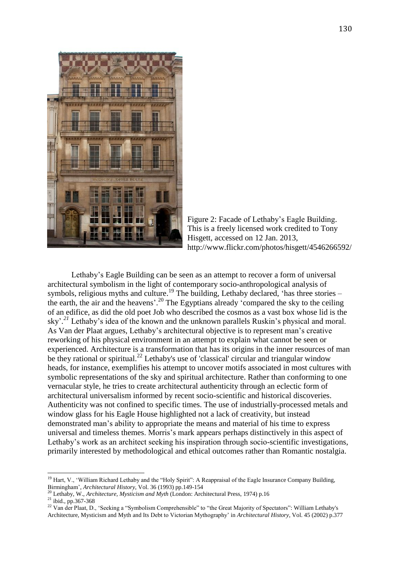



Lethaby's Eagle Building can be seen as an attempt to recover a form of universal architectural symbolism in the light of contemporary socio-anthropological analysis of symbols, religious myths and culture. <sup>19</sup> The building*,* Lethaby declared, 'has three stories – the earth, the air and the heavens'. <sup>20</sup> The Egyptians already 'compared the sky to the ceiling of an edifice, as did the old poet Job who described the cosmos as a vast box whose lid is the sky'.<sup>21</sup> Lethaby's idea of the known and the unknown parallels Ruskin's physical and moral. As Van der Plaat argues, Lethaby's architectural objective is to represent man's creative reworking of his physical environment in an attempt to explain what cannot be seen or experienced. Architecture is a transformation that has its origins in the inner resources of man be they rational or spiritual.<sup>22</sup> Lethaby's use of 'classical' circular and triangular window heads, for instance, exemplifies his attempt to uncover motifs associated in most cultures with symbolic representations of the sky and spiritual architecture. Rather than conforming to one vernacular style, he tries to create architectural authenticity through an eclectic form of architectural universalism informed by recent socio-scientific and historical discoveries. Authenticity was not confined to specific times. The use of industrially-processed metals and window glass for his Eagle House highlighted not a lack of creativity, but instead demonstrated man's ability to appropriate the means and material of his time to express universal and timeless themes. Morris's mark appears perhaps distinctively in this aspect of Lethaby's work as an architect seeking his inspiration through socio-scientific investigations, primarily interested by methodological and ethical outcomes rather than Romantic nostalgia.

- <sup>20</sup> Lethaby, W., *Architecture, Mysticism and Myth* (London: Architectural Press, 1974) p.16
- $21$  ibid., pp.367-368

 $\overline{\phantom{a}}$ 

<sup>&</sup>lt;sup>19</sup> Hart, V., 'William Richard Lethaby and the "Holy Spirit": A Reappraisal of the Eagle Insurance Company Building, Birmingham', *Architectural History*, Vol. 36 (1993) pp.149-154

<sup>&</sup>lt;sup>22</sup> Van der Plaat, D., 'Seeking a "Symbolism Comprehensible" to "the Great Majority of Spectators": William Lethaby's Architecture, Mysticism and Myth and Its Debt to Victorian Mythography' in *Architectural History*, Vol. 45 (2002) p.377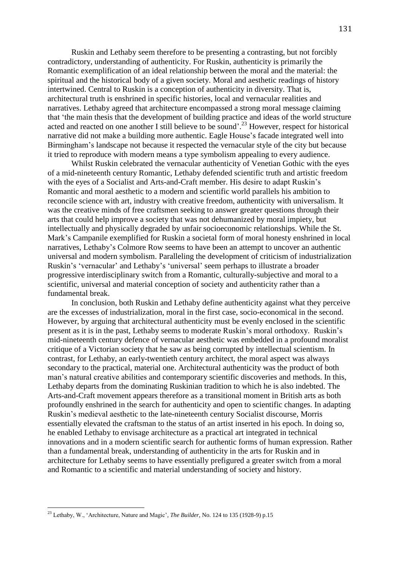Ruskin and Lethaby seem therefore to be presenting a contrasting, but not forcibly contradictory, understanding of authenticity. For Ruskin, authenticity is primarily the Romantic exemplification of an ideal relationship between the moral and the material: the spiritual and the historical body of a given society. Moral and aesthetic readings of history intertwined. Central to Ruskin is a conception of authenticity in diversity. That is, architectural truth is enshrined in specific histories, local and vernacular realities and narratives. Lethaby agreed that architecture encompassed a strong moral message claiming that 'the main thesis that the development of building practice and ideas of the world structure acted and reacted on one another I still believe to be sound'.<sup>23</sup> However, respect for historical narrative did not make a building more authentic. Eagle House's facade integrated well into Birmingham's landscape not because it respected the vernacular style of the city but because it tried to reproduce with modern means a type symbolism appealing to every audience.

Whilst Ruskin celebrated the vernacular authenticity of Venetian Gothic with the eyes of a mid-nineteenth century Romantic, Lethaby defended scientific truth and artistic freedom with the eyes of a Socialist and Arts-and-Craft member. His desire to adapt Ruskin's Romantic and moral aesthetic to a modern and scientific world parallels his ambition to reconcile science with art, industry with creative freedom, authenticity with universalism. It was the creative minds of free craftsmen seeking to answer greater questions through their arts that could help improve a society that was not dehumanized by moral impiety, but intellectually and physically degraded by unfair socioeconomic relationships. While the St. Mark's Campanile exemplified for Ruskin a societal form of moral honesty enshrined in local narratives, Lethaby's Colmore Row seems to have been an attempt to uncover an authentic universal and modern symbolism. Paralleling the development of criticism of industrialization Ruskin's 'vernacular' and Lethaby's 'universal' seem perhaps to illustrate a broader progressive interdisciplinary switch from a Romantic, culturally-subjective and moral to a scientific, universal and material conception of society and authenticity rather than a fundamental break.

In conclusion, both Ruskin and Lethaby define authenticity against what they perceive are the excesses of industrialization, moral in the first case, socio-economical in the second. However, by arguing that architectural authenticity must be evenly enclosed in the scientific present as it is in the past, Lethaby seems to moderate Ruskin's moral orthodoxy. Ruskin's mid-nineteenth century defence of vernacular aesthetic was embedded in a profound moralist critique of a Victorian society that he saw as being corrupted by intellectual scientism. In contrast, for Lethaby, an early-twentieth century architect, the moral aspect was always secondary to the practical, material one. Architectural authenticity was the product of both man's natural creative abilities and contemporary scientific discoveries and methods. In this, Lethaby departs from the dominating Ruskinian tradition to which he is also indebted. The Arts-and-Craft movement appears therefore as a transitional moment in British arts as both profoundly enshrined in the search for authenticity and open to scientific changes. In adapting Ruskin's medieval aesthetic to the late-nineteenth century Socialist discourse, Morris essentially elevated the craftsman to the status of an artist inserted in his epoch. In doing so, he enabled Lethaby to envisage architecture as a practical art integrated in technical innovations and in a modern scientific search for authentic forms of human expression. Rather than a fundamental break, understanding of authenticity in the arts for Ruskin and in architecture for Lethaby seems to have essentially prefigured a greater switch from a moral and Romantic to a scientific and material understanding of society and history.

 $\overline{\phantom{a}}$ 

<sup>23</sup> Lethaby, W., 'Architecture, Nature and Magic', *The Builder*, No. 124 to 135 (1928-9) p.15